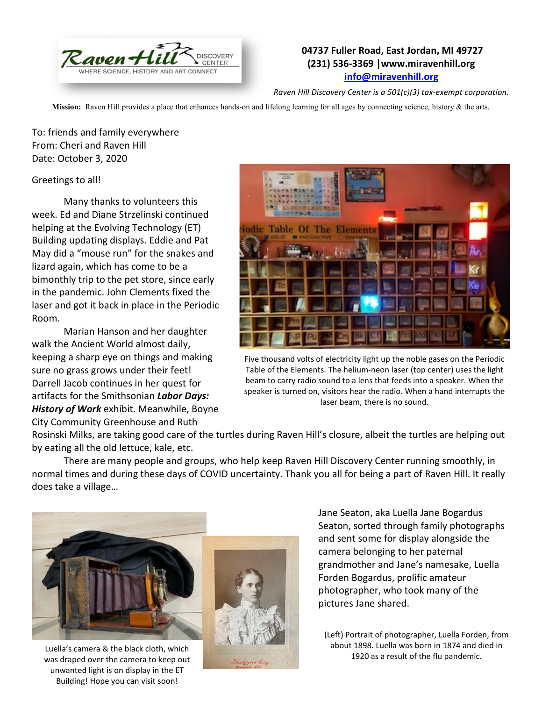

## **04737 Fuller Road, East Jordan, MI 49727 (231) 536-3369 |www.miravenhill.org [info@miravenhill.org](mailto:info@miravenhill.org)**

*Raven Hill Discovery Center is a 501(c)(3) tax-exempt corporation.*

**Mission:** Raven Hill provides a place that enhances hands-on and lifelong learning for all ages by connecting science, history & the arts.

To: friends and family everywhere From: Cheri and Raven Hill Date: October 3, 2020

## Greetings to all!

Many thanks to volunteers this week. Ed and Diane Strzelinski continued helping at the Evolving Technology (ET) Building updating displays. Eddie and Pat May did a "mouse run" for the snakes and lizard again, which has come to be a bimonthly trip to the pet store, since early in the pandemic. John Clements fixed the laser and got it back in place in the Periodic Room.

Marian Hanson and her daughter walk the Ancient World almost daily, keeping a sharp eye on things and making sure no grass grows under their feet! Darrell Jacob continues in her quest for artifacts for the Smithsonian *Labor Days: History of Work* exhibit. Meanwhile, Boyne City Community Greenhouse and Ruth



Five thousand volts of electricity light up the noble gases on the Periodic Table of the Elements. The helium-neon laser (top center) uses the light beam to carry radio sound to a lens that feeds into a speaker. When the speaker is turned on, visitors hear the radio. When a hand interrupts the laser beam, there is no sound.

Rosinski Milks, are taking good care of the turtles during Raven Hill's closure, albeit the turtles are helping out by eating all the old lettuce, kale, etc.

There are many people and groups, who help keep Raven Hill Discovery Center running smoothly, in normal times and during these days of COVID uncertainty. Thank you all for being a part of Raven Hill. It really does take a village…



Luella's camera & the black cloth, which was draped over the camera to keep out unwanted light is on display in the ET Building! Hope you can visit soon!



Jane Seaton, aka Luella Jane Bogardus Seaton, sorted through family photographs and sent some for display alongside the camera belonging to her paternal grandmother and Jane's namesake, Luella Forden Bogardus, prolific amateur photographer, who took many of the pictures Jane shared.

(Left) Portrait of photographer, Luella Forden, from about 1898. Luella was born in 1874 and died in 1920 as a result of the flu pandemic.